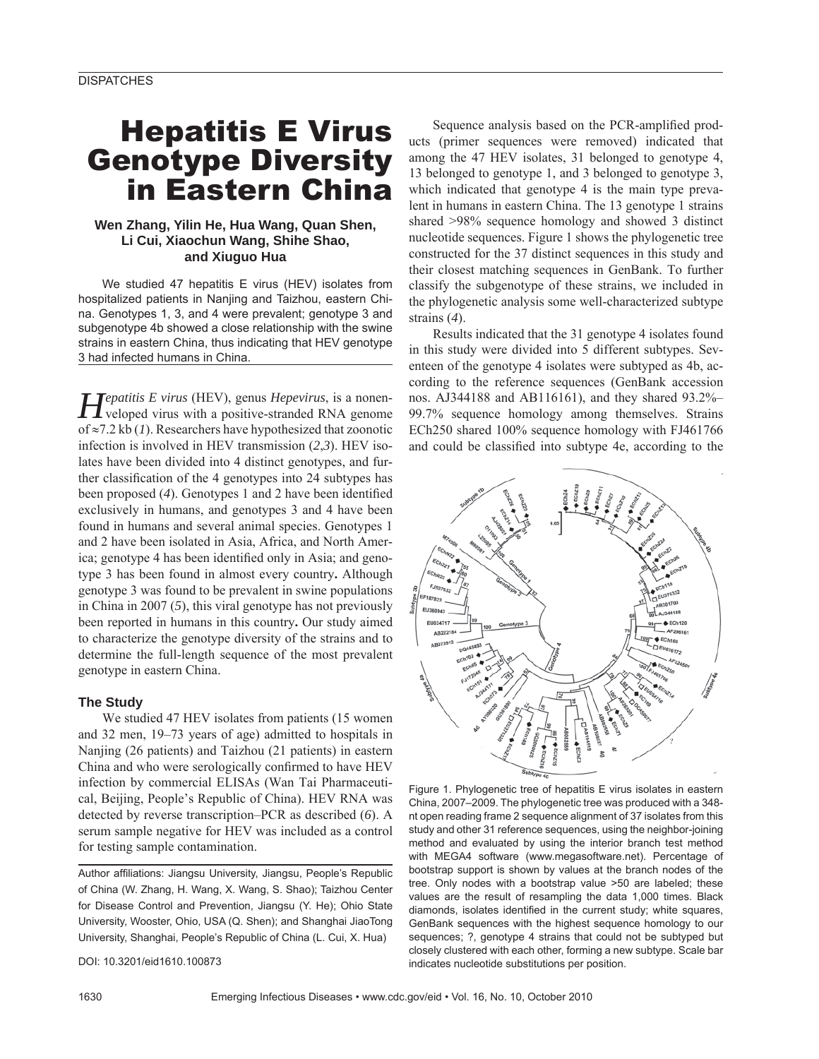# Hepatitis E Virus Genotype Diversity in Eastern China

# **Wen Zhang, Yilin He, Hua Wang, Quan Shen, Li Cui, Xiaochun Wang, Shihe Shao, and Xiuguo Hua**

We studied 47 hepatitis E virus (HEV) isolates from hospitalized patients in Nanjing and Taizhou, eastern China. Genotypes 1, 3, and 4 were prevalent; genotype 3 and subgenotype 4b showed a close relationship with the swine strains in eastern China, thus indicating that HEV genotype 3 had infected humans in China.

*Hepatitis E virus* (HEV), genus *Hepevirus*, is a nonen-veloped virus with a positive-stranded RNA genome of ≈7.2 kb (*1*). Researchers have hypothesized that zoonotic infection is involved in HEV transmission (*2*,*3*). HEV isolates have been divided into 4 distinct genotypes, and further classification of the 4 genotypes into 24 subtypes has been proposed (4). Genotypes 1 and 2 have been identified exclusively in humans, and genotypes 3 and 4 have been found in humans and several animal species. Genotypes 1 and 2 have been isolated in Asia, Africa, and North America; genotype 4 has been identified only in Asia; and genotype 3 has been found in almost every country**.** Although genotype 3 was found to be prevalent in swine populations in China in 2007 (*5*), this viral genotype has not previously been reported in humans in this country**.** Our study aimed to characterize the genotype diversity of the strains and to determine the full-length sequence of the most prevalent genotype in eastern China.

#### **The Study**

We studied 47 HEV isolates from patients (15 women and 32 men, 19–73 years of age) admitted to hospitals in Nanjing (26 patients) and Taizhou (21 patients) in eastern China and who were serologically confirmed to have HEV infection by commercial ELISAs (Wan Tai Pharmaceutical, Beijing, People's Republic of China). HEV RNA was detected by reverse transcription–PCR as described (*6*). A serum sample negative for HEV was included as a control for testing sample contamination.

Author affiliations: Jiangsu University, Jiangsu, People's Republic of China (W. Zhang, H. Wang, X. Wang, S. Shao); Taizhou Center for Disease Control and Prevention, Jiangsu (Y. He); Ohio State University, Wooster, Ohio, USA (Q. Shen); and Shanghai JiaoTong University, Shanghai, People's Republic of China (L. Cui, X. Hua)

DOI: 10.3201/eid1610.100873

Sequence analysis based on the PCR-amplified products (primer sequences were removed) indicated that among the 47 HEV isolates, 31 belonged to genotype 4, 13 belonged to genotype 1, and 3 belonged to genotype 3, which indicated that genotype 4 is the main type prevalent in humans in eastern China. The 13 genotype 1 strains shared >98% sequence homology and showed 3 distinct nucleotide sequences. Figure 1 shows the phylogenetic tree constructed for the 37 distinct sequences in this study and their closest matching sequences in GenBank. To further classify the subgenotype of these strains, we included in the phylogenetic analysis some well-characterized subtype strains (*4*).

Results indicated that the 31 genotype 4 isolates found in this study were divided into 5 different subtypes. Seventeen of the genotype 4 isolates were subtyped as 4b, according to the reference sequences (GenBank accession nos. AJ344188 and AB116161), and they shared 93.2%– 99.7% sequence homology among themselves. Strains ECh250 shared 100% sequence homology with FJ461766 and could be classified into subtype 4e, according to the



Figure 1. Phylogenetic tree of hepatitis E virus isolates in eastern China, 2007–2009. The phylogenetic tree was produced with a 348 nt open reading frame 2 sequence alignment of 37 isolates from this study and other 31 reference sequences, using the neighbor-joining method and evaluated by using the interior branch test method with MEGA4 software (www.megasoftware.net). Percentage of bootstrap support is shown by values at the branch nodes of the tree. Only nodes with a bootstrap value >50 are labeled; these values are the result of resampling the data 1,000 times. Black diamonds, isolates identified in the current study; white squares, GenBank sequences with the highest sequence homology to our sequences; ?, genotype 4 strains that could not be subtyped but closely clustered with each other, forming a new subtype. Scale bar indicates nucleotide substitutions per position.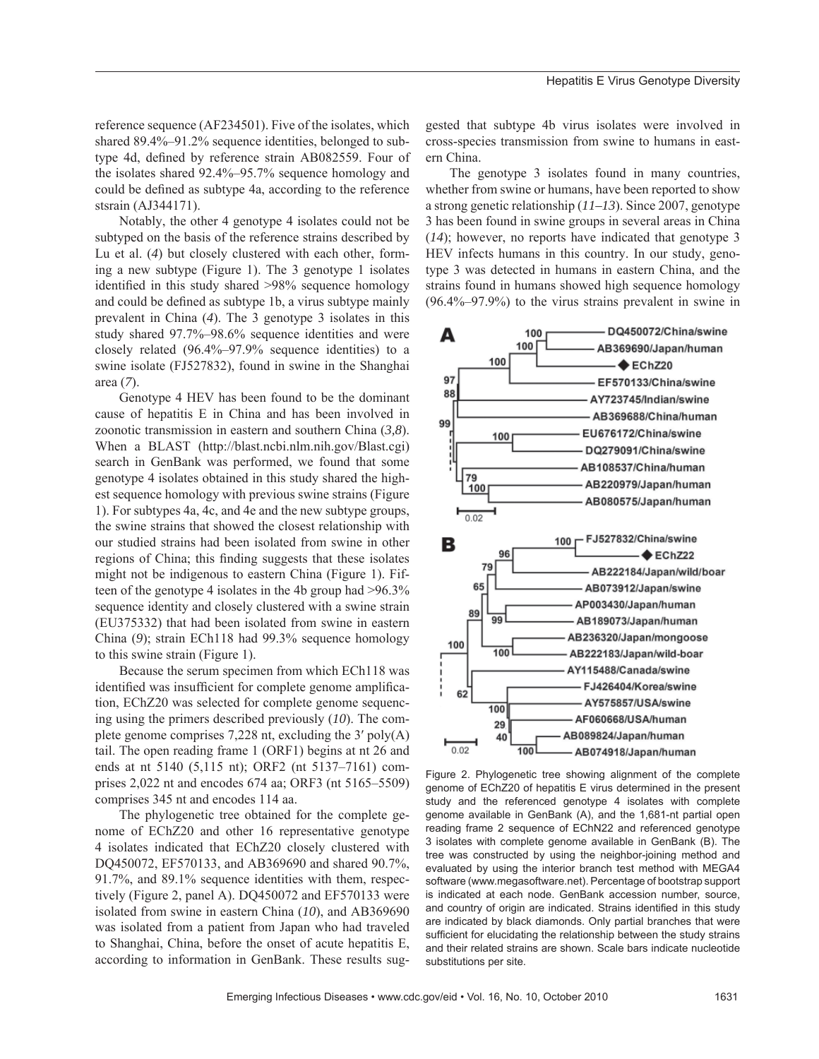reference sequence (AF234501). Five of the isolates, which shared 89.4%–91.2% sequence identities, belonged to subtype 4d, defined by reference strain AB082559. Four of the isolates shared 92.4%–95.7% sequence homology and could be defined as subtype 4a, according to the reference stsrain (AJ344171).

Notably, the other 4 genotype 4 isolates could not be subtyped on the basis of the reference strains described by Lu et al. (*4*) but closely clustered with each other, forming a new subtype (Figure 1). The 3 genotype 1 isolates identified in this study shared >98% sequence homology and could be defined as subtype 1b, a virus subtype mainly prevalent in China (*4*). The 3 genotype 3 isolates in this study shared 97.7%–98.6% sequence identities and were closely related (96.4%–97.9% sequence identities) to a swine isolate (FJ527832), found in swine in the Shanghai area (*7*).

Genotype 4 HEV has been found to be the dominant cause of hepatitis E in China and has been involved in zoonotic transmission in eastern and southern China (*3,8*). When a BLAST (http://blast.ncbi.nlm.nih.gov/Blast.cgi) search in GenBank was performed, we found that some genotype 4 isolates obtained in this study shared the highest sequence homology with previous swine strains (Figure 1). For subtypes 4a, 4c, and 4e and the new subtype groups, the swine strains that showed the closest relationship with our studied strains had been isolated from swine in other regions of China; this finding suggests that these isolates might not be indigenous to eastern China (Figure 1). Fifteen of the genotype 4 isolates in the 4b group had >96.3% sequence identity and closely clustered with a swine strain (EU375332) that had been isolated from swine in eastern China (*9*); strain ECh118 had 99.3% sequence homology to this swine strain (Figure 1).

Because the serum specimen from which ECh118 was identified was insufficient for complete genome amplification, EChZ20 was selected for complete genome sequencing using the primers described previously (*10*). The complete genome comprises 7,228 nt, excluding the 3′ poly(A) tail. The open reading frame 1 (ORF1) begins at nt 26 and ends at nt 5140 (5,115 nt); ORF2 (nt 5137–7161) comprises 2,022 nt and encodes 674 aa; ORF3 (nt 5165–5509) comprises 345 nt and encodes 114 aa.

The phylogenetic tree obtained for the complete genome of EChZ20 and other 16 representative genotype 4 isolates indicated that EChZ20 closely clustered with DQ450072, EF570133, and AB369690 and shared 90.7%, 91.7%, and 89.1% sequence identities with them, respectively (Figure 2, panel A). DQ450072 and EF570133 were isolated from swine in eastern China (*10*), and AB369690 was isolated from a patient from Japan who had traveled to Shanghai, China, before the onset of acute hepatitis E, according to information in GenBank. These results suggested that subtype 4b virus isolates were involved in cross-species transmission from swine to humans in eastern China.

The genotype 3 isolates found in many countries, whether from swine or humans, have been reported to show a strong genetic relationship (*11–13*). Since 2007, genotype 3 has been found in swine groups in several areas in China (*14*); however, no reports have indicated that genotype 3 HEV infects humans in this country. In our study, genotype 3 was detected in humans in eastern China, and the strains found in humans showed high sequence homology (96.4%–97.9%) to the virus strains prevalent in swine in



Figure 2. Phylogenetic tree showing alignment of the complete genome of EChZ20 of hepatitis E virus determined in the present study and the referenced genotype 4 isolates with complete genome available in GenBank (A), and the 1,681-nt partial open reading frame 2 sequence of EChN22 and referenced genotype 3 isolates with complete genome available in GenBank (B). The tree was constructed by using the neighbor-joining method and evaluated by using the interior branch test method with MEGA4 software (www.megasoftware.net). Percentage of bootstrap support is indicated at each node. GenBank accession number, source, and country of origin are indicated. Strains identified in this study are indicated by black diamonds. Only partial branches that were sufficient for elucidating the relationship between the study strains and their related strains are shown. Scale bars indicate nucleotide substitutions per site.